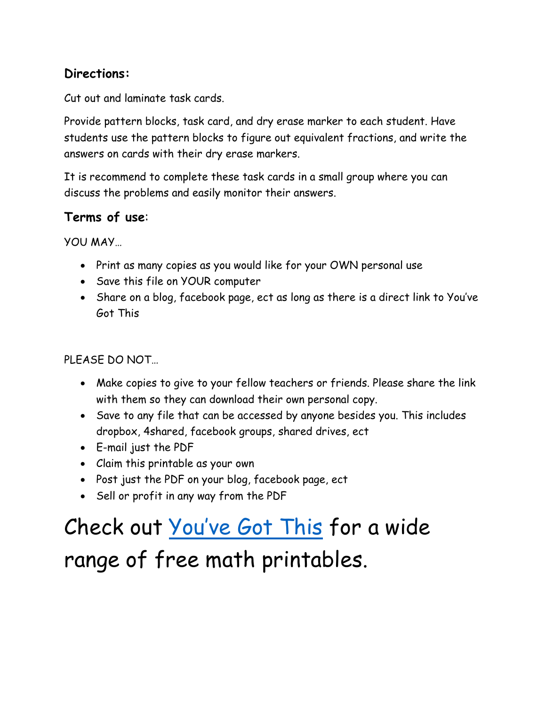## **Directions:**

Cut out and laminate task cards.

Provide pattern blocks, task card, and dry erase marker to each student. Have students use the pattern blocks to figure out equivalent fractions, and write the answers on cards with their dry erase markers.

It is recommend to complete these task cards in a small group where you can discuss the problems and easily monitor their answers.

## **Terms of use**:

YOU MAY…

- Print as many copies as you would like for your OWN personal use
- Save this file on YOUR computer
- Share on a blog, facebook page, ect as long as there is a direct link to You've Got This

PLEASE DO NOT…

- Make copies to give to your fellow teachers or friends. Please share the link with them so they can download their own personal copy.
- Save to any file that can be accessed by anyone besides you. This includes dropbox, 4shared, facebook groups, shared drives, ect
- E-mail just the PDF
- Claim this printable as your own
- Post just the PDF on your blog, facebook page, ect
- Sell or profit in any way from the PDF

## Check out [You've Got This](http://youvegotthis.co/) for a wide range of free math printables.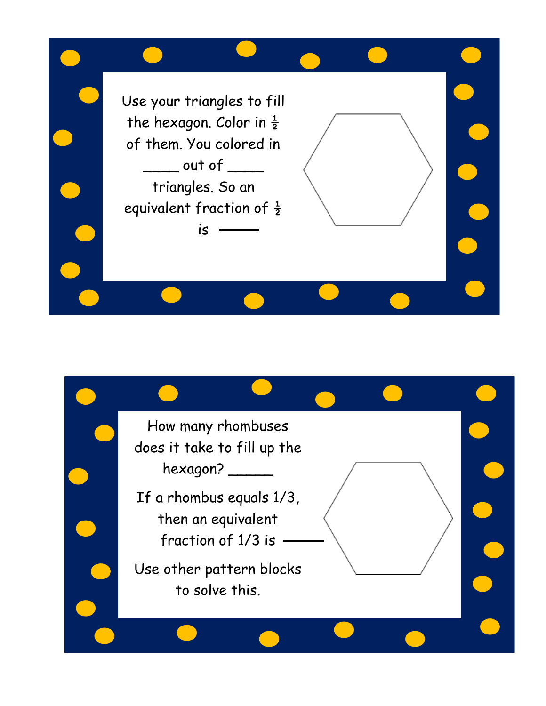

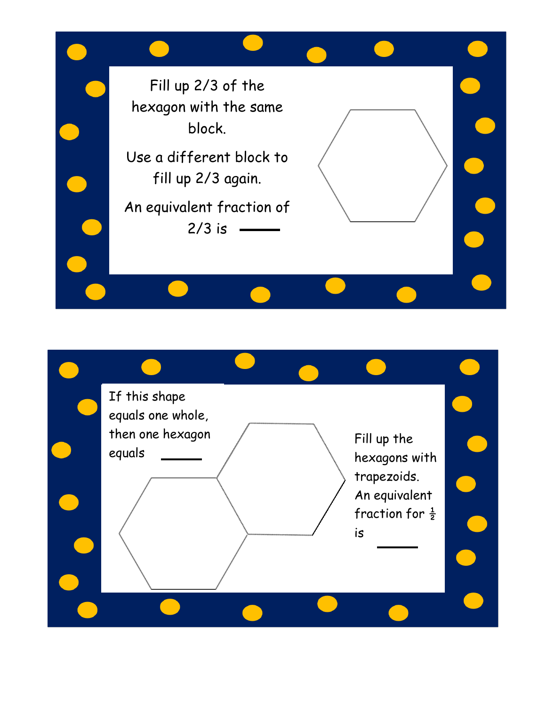

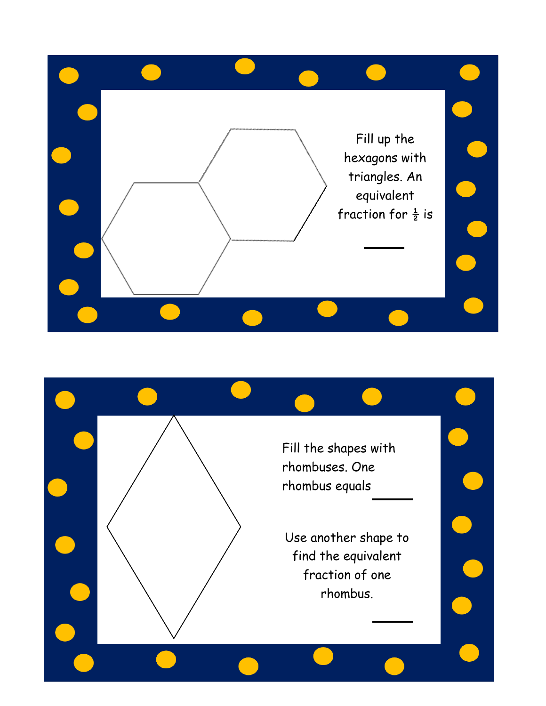

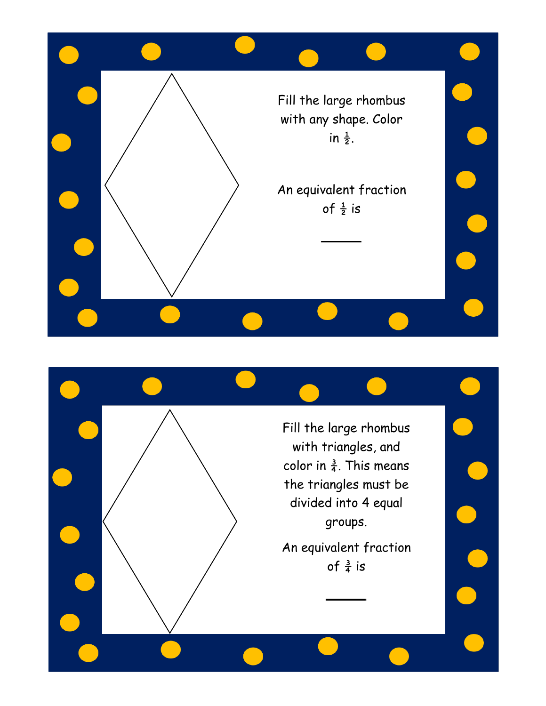

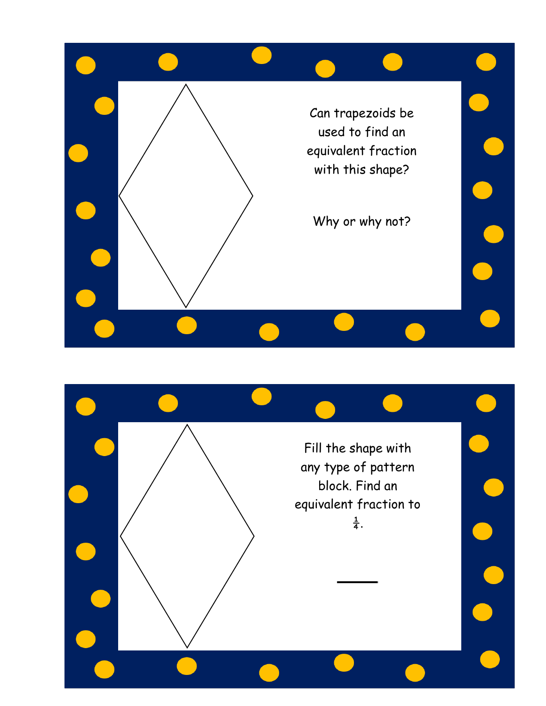

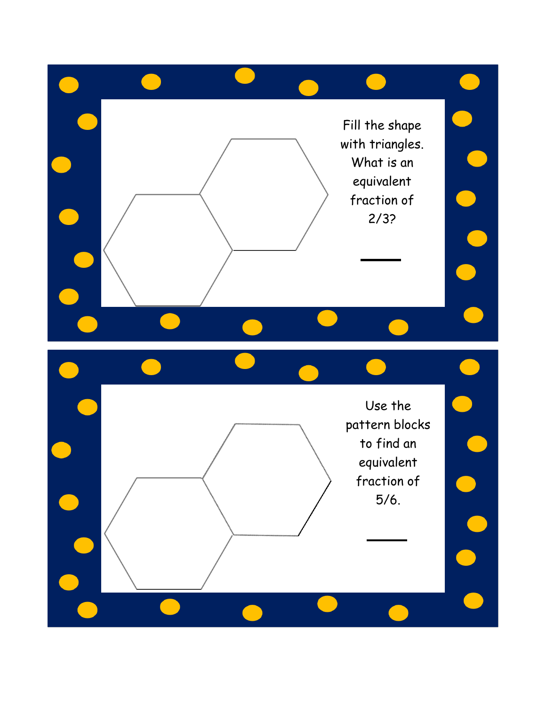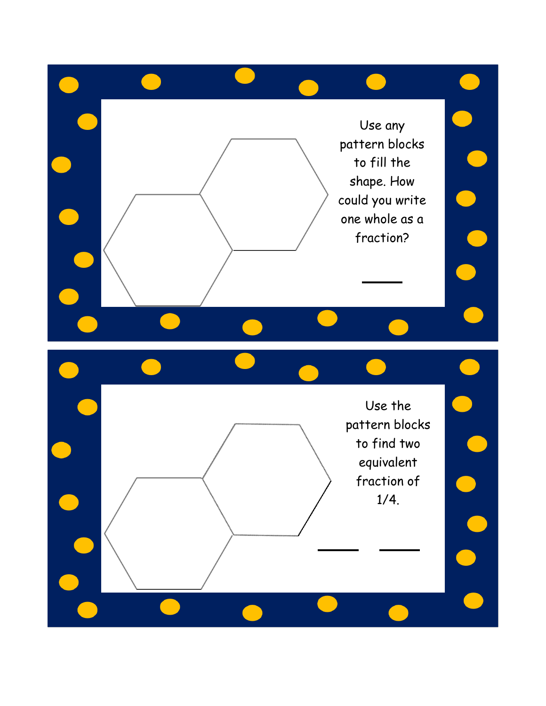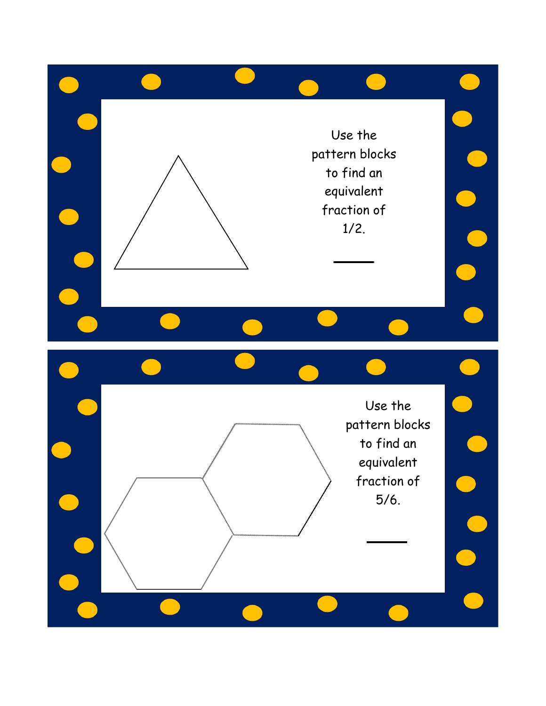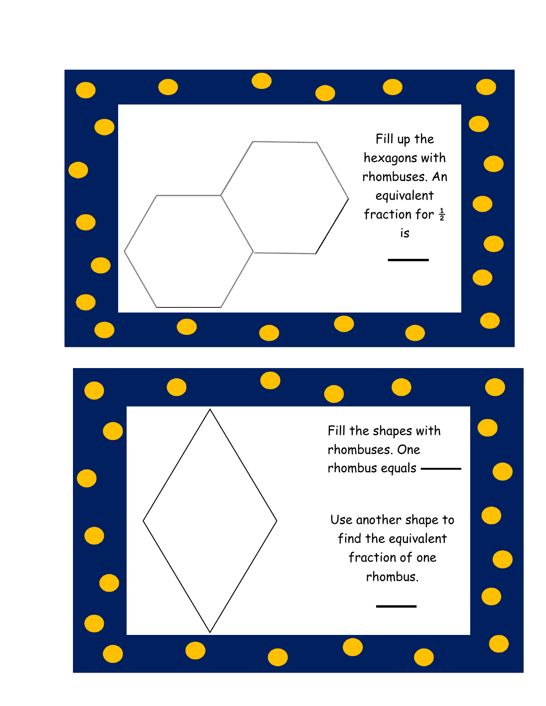

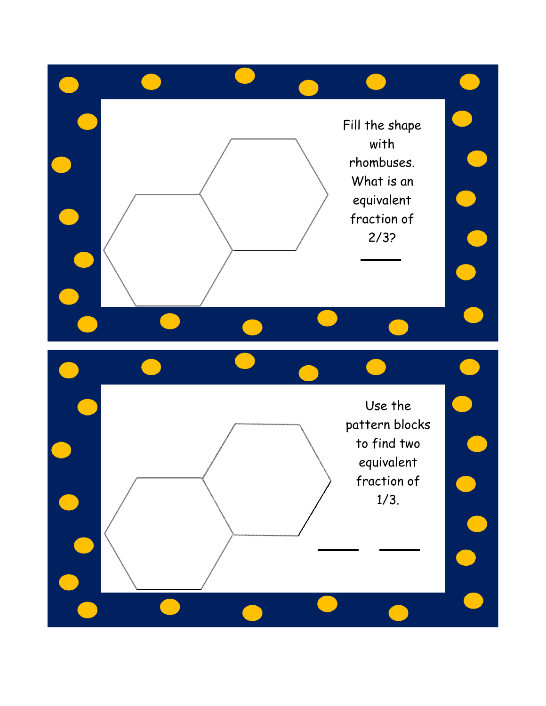